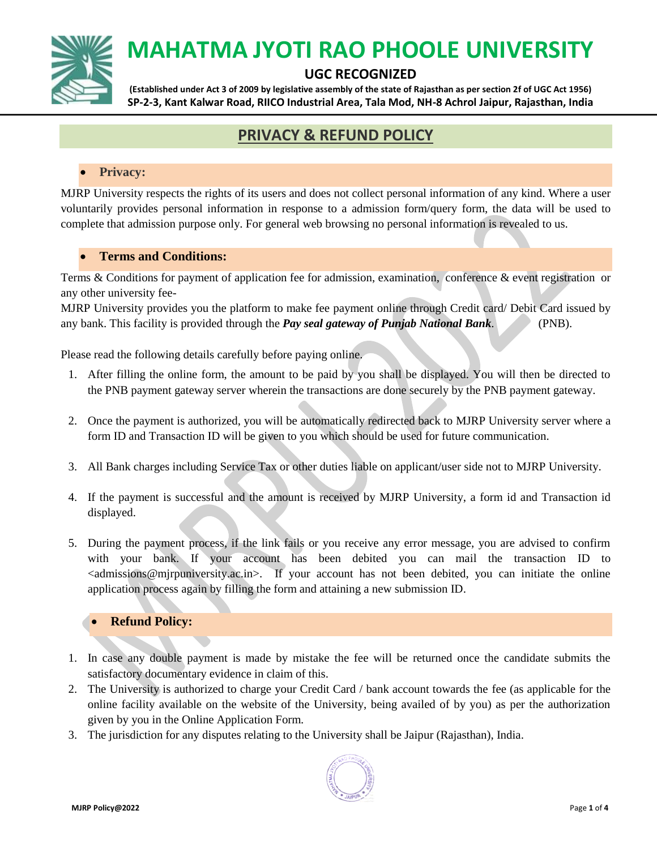

### **UGC RECOGNIZED**

**(Established under Act 3 of 2009 by legislative assembly of the state of Rajasthan as per section 2f of UGC Act 1956) SP-2-3, Kant Kalwar Road, RIICO Industrial Area, Tala Mod, NH-8 Achrol Jaipur, Rajasthan, India**

## **PRIVACY & REFUND POLICY**

#### **Privacy:**

MJRP University respects the rights of its users and does not collect personal information of any kind. Where a user voluntarily provides personal information in response to a admission form/query form, the data will be used to complete that admission purpose only. For general web browsing no personal information is revealed to us.

#### **Terms and Conditions:**

Terms & Conditions for payment of application fee for admission, examination, conference & event registration or any other university fee-

MJRP University provides you the platform to make fee payment online through Credit card/ Debit Card issued by any bank. This facility is provided through the *Pay seal gateway of Punjab National Bank*. (PNB).

Please read the following details carefully before paying online.

- 1. After filling the online form, the amount to be paid by you shall be displayed. You will then be directed to the PNB payment gateway server wherein the transactions are done securely by the PNB payment gateway.
- 2. Once the payment is authorized, you will be automatically redirected back to MJRP University server where a form ID and Transaction ID will be given to you which should be used for future communication.
- 3. All Bank charges including Service Tax or other duties liable on applicant/user side not to MJRP University.
- 4. If the payment is successful and the amount is received by MJRP University, a form id and Transaction id displayed.
- 5. During the payment process, if the link fails or you receive any error message, you are advised to confirm with your bank. If your account has been debited you can mail the transaction ID to  $\alpha$  admissions@mjrpuniversity.ac.in>. If your account has not been debited, you can initiate the online application process again by filling the form and attaining a new submission ID.

#### **Refund Policy:**

- 1. In case any double payment is made by mistake the fee will be returned once the candidate submits the satisfactory documentary evidence in claim of this.
- 2. The University is authorized to charge your Credit Card / bank account towards the fee (as applicable for the online facility available on the website of the University, being availed of by you) as per the authorization given by you in the Online Application Form.
- 3. The jurisdiction for any disputes relating to the University shall be Jaipur (Rajasthan), India.

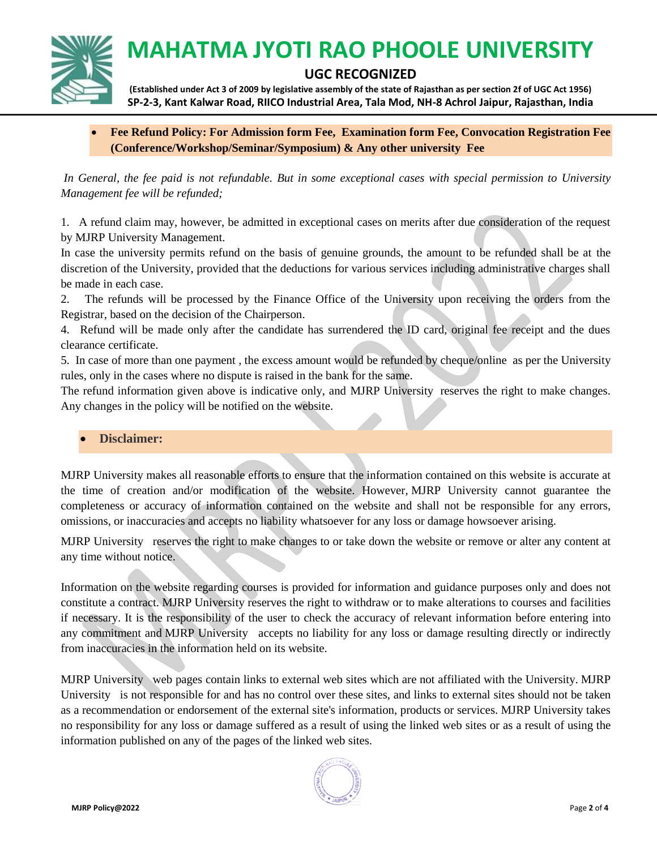

### **UGC RECOGNIZED**

**(Established under Act 3 of 2009 by legislative assembly of the state of Rajasthan as per section 2f of UGC Act 1956) SP-2-3, Kant Kalwar Road, RIICO Industrial Area, Tala Mod, NH-8 Achrol Jaipur, Rajasthan, India**

#### **Fee Refund Policy: For Admission form Fee, Examination form Fee, Convocation Registration Fee (Conference/Workshop/Seminar/Symposium) & Any other university Fee**

*In General, the fee paid is not refundable. But in some exceptional cases with special permission to University Management fee will be refunded;*

1. A refund claim may, however, be admitted in exceptional cases on merits after due consideration of the request by MJRP University Management.

In case the university permits refund on the basis of genuine grounds, the amount to be refunded shall be at the discretion of the University, provided that the deductions for various services including administrative charges shall be made in each case.

2. The refunds will be processed by the Finance Office of the University upon receiving the orders from the Registrar, based on the decision of the Chairperson.

4. Refund will be made only after the candidate has surrendered the ID card, original fee receipt and the dues clearance certificate.

5. In case of more than one payment , the excess amount would be refunded by cheque/online as per the University rules, only in the cases where no dispute is raised in the bank for the same.

The refund information given above is indicative only, and MJRP University reserves the right to make changes. Any changes in the policy will be notified on the website.

#### **Disclaimer:**

MJRP University makes all reasonable efforts to ensure that the information contained on this website is accurate at the time of creation and/or modification of the website. However, MJRP University cannot guarantee the completeness or accuracy of information contained on the website and shall not be responsible for any errors, omissions, or inaccuracies and accepts no liability whatsoever for any loss or damage howsoever arising.

MJRP University reserves the right to make changes to or take down the website or remove or alter any content at any time without notice.

Information on the website regarding courses is provided for information and guidance purposes only and does not constitute a contract. MJRP University reserves the right to withdraw or to make alterations to courses and facilities if necessary. It is the responsibility of the user to check the accuracy of relevant information before entering into any commitment and MJRP University accepts no liability for any loss or damage resulting directly or indirectly from inaccuracies in the information held on its website.

MJRP University web pages contain links to external web sites which are not affiliated with the University. MJRP University is not responsible for and has no control over these sites, and links to external sites should not be taken as a recommendation or endorsement of the external site's information, products or services. MJRP University takes no responsibility for any loss or damage suffered as a result of using the linked web sites or as a result of using the information published on any of the pages of the linked web sites.

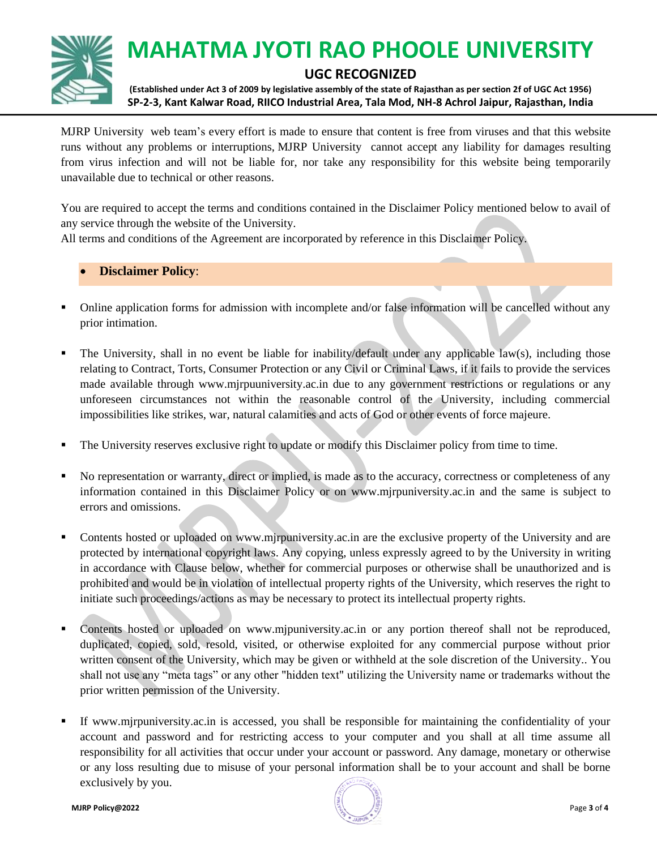

### **UGC RECOGNIZED**

**(Established under Act 3 of 2009 by legislative assembly of the state of Rajasthan as per section 2f of UGC Act 1956) SP-2-3, Kant Kalwar Road, RIICO Industrial Area, Tala Mod, NH-8 Achrol Jaipur, Rajasthan, India**

MJRP University web team's every effort is made to ensure that content is free from viruses and that this website runs without any problems or interruptions, MJRP University cannot accept any liability for damages resulting from virus infection and will not be liable for, nor take any responsibility for this website being temporarily unavailable due to technical or other reasons.

You are required to accept the terms and conditions contained in the Disclaimer Policy mentioned below to avail of any service through the website of the University.

All terms and conditions of the Agreement are incorporated by reference in this Disclaimer Policy.

#### **Disclaimer Policy**:

- Online application forms for admission with incomplete and/or false information will be cancelled without any prior intimation.
- The University, shall in no event be liable for inability/default under any applicable law(s), including those relating to Contract, Torts, Consumer Protection or any Civil or Criminal Laws, if it fails to provide the services made available through www.mjrpuuniversity.ac.in due to any government restrictions or regulations or any unforeseen circumstances not within the reasonable control of the University, including commercial impossibilities like strikes, war, natural calamities and acts of God or other events of force majeure.
- The University reserves exclusive right to update or modify this Disclaimer policy from time to time.
- No representation or warranty, direct or implied, is made as to the accuracy, correctness or completeness of any information contained in this Disclaimer Policy or on www.mjrpuniversity.ac.in and the same is subject to errors and omissions.
- Contents hosted or uploaded on www.mjrpuniversity.ac.in are the exclusive property of the University and are protected by international copyright laws. Any copying, unless expressly agreed to by the University in writing in accordance with Clause below, whether for commercial purposes or otherwise shall be unauthorized and is prohibited and would be in violation of intellectual property rights of the University, which reserves the right to initiate such proceedings/actions as may be necessary to protect its intellectual property rights.
- Contents hosted or uploaded on www.mjpuniversity.ac.in or any portion thereof shall not be reproduced, duplicated, copied, sold, resold, visited, or otherwise exploited for any commercial purpose without prior written consent of the University, which may be given or withheld at the sole discretion of the University.. You shall not use any "meta tags" or any other "hidden text" utilizing the University name or trademarks without the prior written permission of the University.
- If www.mjrpuniversity.ac.in is accessed, you shall be responsible for maintaining the confidentiality of your account and password and for restricting access to your computer and you shall at all time assume all responsibility for all activities that occur under your account or password. Any damage, monetary or otherwise or any loss resulting due to misuse of your personal information shall be to your account and shall be borne exclusively by you.